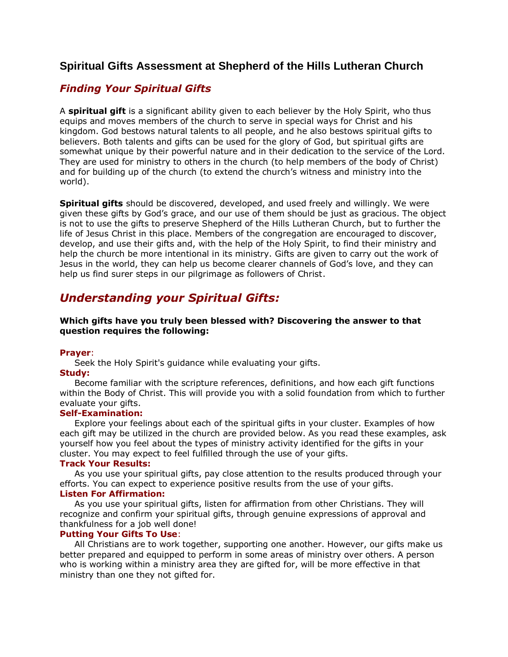## **Spiritual Gifts Assessment at Shepherd of the Hills Lutheran Church**

## *Finding Your Spiritual Gifts*

A **spiritual gift** is a significant ability given to each believer by the Holy Spirit, who thus equips and moves members of the church to serve in special ways for Christ and his kingdom. God bestows natural talents to all people, and he also bestows spiritual gifts to believers. Both talents and gifts can be used for the glory of God, but spiritual gifts are somewhat unique by their powerful nature and in their dedication to the service of the Lord. They are used for ministry to others in the church (to help members of the body of Christ) and for building up of the church (to extend the church's witness and ministry into the world).

**Spiritual gifts** should be discovered, developed, and used freely and willingly. We were given these gifts by God's grace, and our use of them should be just as gracious. The object is not to use the gifts to preserve Shepherd of the Hills Lutheran Church, but to further the life of Jesus Christ in this place. Members of the congregation are encouraged to discover, develop, and use their gifts and, with the help of the Holy Spirit, to find their ministry and help the church be more intentional in its ministry. Gifts are given to carry out the work of Jesus in the world, they can help us become clearer channels of God's love, and they can help us find surer steps in our pilgrimage as followers of Christ.

# *Understanding your Spiritual Gifts:*

## **Which gifts have you truly been blessed with? Discovering the answer to that question requires the following:**

### **Prayer**:

Seek the Holy Spirit's guidance while evaluating your gifts.

## **Study:**

 Become familiar with the scripture references, definitions, and how each gift functions within the Body of Christ. This will provide you with a solid foundation from which to further evaluate your gifts.

## **Self-Examination:**

 Explore your feelings about each of the spiritual gifts in your cluster. Examples of how each gift may be utilized in the church are provided below. As you read these examples, ask yourself how you feel about the types of ministry activity identified for the gifts in your cluster. You may expect to feel fulfilled through the use of your gifts.

### **Track Your Results:**

 As you use your spiritual gifts, pay close attention to the results produced through your efforts. You can expect to experience positive results from the use of your gifts. **Listen For Affirmation:**

 As you use your spiritual gifts, listen for affirmation from other Christians. They will recognize and confirm your spiritual gifts, through genuine expressions of approval and thankfulness for a job well done!

## **Putting Your Gifts To Use**:

 All Christians are to work together, supporting one another. However, our gifts make us better prepared and equipped to perform in some areas of ministry over others. A person who is working within a ministry area they are gifted for, will be more effective in that ministry than one they not gifted for.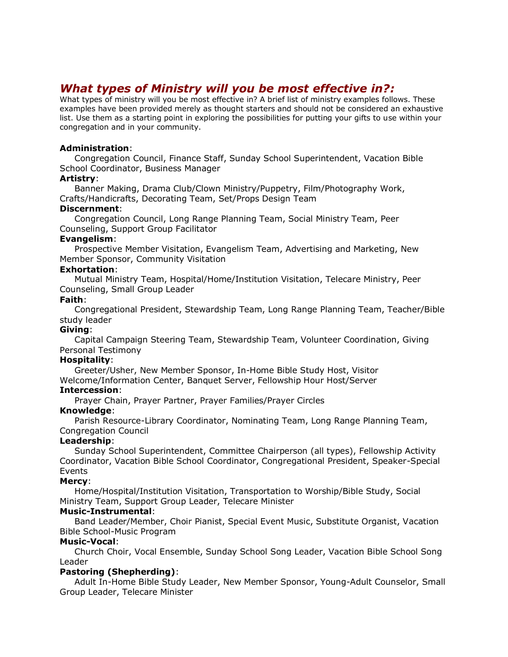# *What types of Ministry will you be most effective in?:*

What types of ministry will you be most effective in? A brief list of ministry examples follows. These examples have been provided merely as thought starters and should not be considered an exhaustive list. Use them as a starting point in exploring the possibilities for putting your gifts to use within your congregation and in your community.

## **Administration**:

 Congregation Council, Finance Staff, Sunday School Superintendent, Vacation Bible School Coordinator, Business Manager

### **Artistry**:

 Banner Making, Drama Club/Clown Ministry/Puppetry, Film/Photography Work, Crafts/Handicrafts, Decorating Team, Set/Props Design Team

### **Discernment**:

 Congregation Council, Long Range Planning Team, Social Ministry Team, Peer Counseling, Support Group Facilitator

### **Evangelism**:

 Prospective Member Visitation, Evangelism Team, Advertising and Marketing, New Member Sponsor, Community Visitation

## **Exhortation**:

 Mutual Ministry Team, Hospital/Home/Institution Visitation, Telecare Ministry, Peer Counseling, Small Group Leader

## **Faith**:

 Congregational President, Stewardship Team, Long Range Planning Team, Teacher/Bible study leader

## **Giving**:

 Capital Campaign Steering Team, Stewardship Team, Volunteer Coordination, Giving Personal Testimony

## **Hospitality**:

 Greeter/Usher, New Member Sponsor, In-Home Bible Study Host, Visitor Welcome/Information Center, Banquet Server, Fellowship Hour Host/Server

## **Intercession**:

Prayer Chain, Prayer Partner, Prayer Families/Prayer Circles

## **Knowledge**:

 Parish Resource-Library Coordinator, Nominating Team, Long Range Planning Team, Congregation Council

### **Leadership**:

 Sunday School Superintendent, Committee Chairperson (all types), Fellowship Activity Coordinator, Vacation Bible School Coordinator, Congregational President, Speaker-Special Events

### **Mercy**:

 Home/Hospital/Institution Visitation, Transportation to Worship/Bible Study, Social Ministry Team, Support Group Leader, Telecare Minister

### **Music-Instrumental**:

 Band Leader/Member, Choir Pianist, Special Event Music, Substitute Organist, Vacation Bible School-Music Program

### **Music-Vocal**:

 Church Choir, Vocal Ensemble, Sunday School Song Leader, Vacation Bible School Song Leader

## **Pastoring (Shepherding)**:

 Adult In-Home Bible Study Leader, New Member Sponsor, Young-Adult Counselor, Small Group Leader, Telecare Minister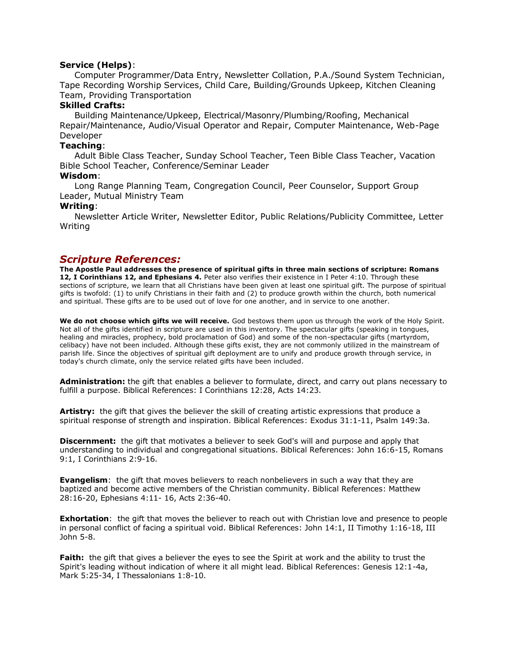#### **Service (Helps)**:

 Computer Programmer/Data Entry, Newsletter Collation, P.A./Sound System Technician, Tape Recording Worship Services, Child Care, Building/Grounds Upkeep, Kitchen Cleaning Team, Providing Transportation

#### **Skilled Crafts:**

 Building Maintenance/Upkeep, Electrical/Masonry/Plumbing/Roofing, Mechanical Repair/Maintenance, Audio/Visual Operator and Repair, Computer Maintenance, Web-Page Developer

### **Teaching**:

 Adult Bible Class Teacher, Sunday School Teacher, Teen Bible Class Teacher, Vacation Bible School Teacher, Conference/Seminar Leader

#### **Wisdom**:

 Long Range Planning Team, Congregation Council, Peer Counselor, Support Group Leader, Mutual Ministry Team

#### **Writing**:

 Newsletter Article Writer, Newsletter Editor, Public Relations/Publicity Committee, Letter Writing

## *Scripture References:*

**The Apostle Paul addresses the presence of spiritual gifts in three main sections of scripture: Romans 12, I Corinthians 12, and Ephesians 4.** Peter also verifies their existence in I Peter 4:10. Through these sections of scripture, we learn that all Christians have been given at least one spiritual gift. The purpose of spiritual gifts is twofold: (1) to unify Christians in their faith and (2) to produce growth within the church, both numerical and spiritual. These gifts are to be used out of love for one another, and in service to one another.

**We do not choose which gifts we will receive.** God bestows them upon us through the work of the Holy Spirit. Not all of the gifts identified in scripture are used in this inventory. The spectacular gifts (speaking in tongues, healing and miracles, prophecy, bold proclamation of God) and some of the non-spectacular gifts (martyrdom, celibacy) have not been included. Although these gifts exist, they are not commonly utilized in the mainstream of parish life. Since the objectives of spiritual gift deployment are to unify and produce growth through service, in today's church climate, only the service related gifts have been included.

**Administration:** the gift that enables a believer to formulate, direct, and carry out plans necessary to fulfill a purpose. Biblical References: I Corinthians 12:28, Acts 14:23.

**Artistry:** the gift that gives the believer the skill of creating artistic expressions that produce a spiritual response of strength and inspiration. Biblical References: Exodus 31:1-11, Psalm 149:3a.

**Discernment:** the gift that motivates a believer to seek God's will and purpose and apply that understanding to individual and congregational situations. Biblical References: John 16:6-15, Romans 9:1, I Corinthians 2:9-16.

**Evangelism**: the gift that moves believers to reach nonbelievers in such a way that they are baptized and become active members of the Christian community. Biblical References: Matthew 28:16-20, Ephesians 4:11- 16, Acts 2:36-40.

**Exhortation**: the gift that moves the believer to reach out with Christian love and presence to people in personal conflict of facing a spiritual void. Biblical References: John 14:1, II Timothy 1:16-18, III John 5-8.

**Faith:** the gift that gives a believer the eyes to see the Spirit at work and the ability to trust the Spirit's leading without indication of where it all might lead. Biblical References: Genesis 12:1-4a, Mark 5:25-34, I Thessalonians 1:8-10.